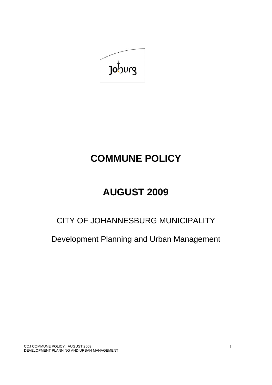

# **COMMUNE POLICY**

# **AUGUST 2009**

## CITY OF JOHANNESBURG MUNICIPALITY

Development Planning and Urban Management

COJ COMMUNE POLICY: AUGUST 2009 DEVELOPMENT PLANNING AND URBAN MANAGEMENT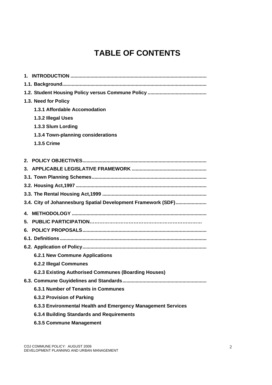## **TABLE OF CONTENTS**

| 1.3. Need for Policy                                          |
|---------------------------------------------------------------|
| 1.3.1 Affordable Accomodation                                 |
| 1.3.2 Illegal Uses                                            |
| 1.3.3 Slum Lording                                            |
| 1.3.4 Town-planning considerations                            |
| <b>1.3.5 Crime</b>                                            |
|                                                               |
| $2_{-}$                                                       |
|                                                               |
|                                                               |
|                                                               |
|                                                               |
| 3.4. City of Johannesburg Spatial Development Framework (SDF) |
| 4.                                                            |
| 5.                                                            |
| 6.                                                            |
|                                                               |
|                                                               |
| <b>6.2.1 New Commune Applications</b>                         |
| <b>6.2.2 Illegal Communes</b>                                 |
| 6.2.3 Existing Authorised Communes (Boarding Houses)          |
|                                                               |
| 6.3.1 Number of Tenants in Communes                           |
| 6.3.2 Provision of Parking                                    |
| 6.3.3 Environmental Health and Emergency Management Services  |
| 6.3.4 Building Standards and Requirements                     |
| 6.3.5 Commune Management                                      |
|                                                               |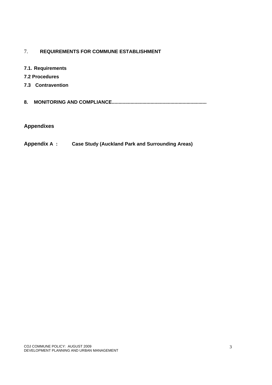## 7. **REQUIREMENTS FOR COMMUNE ESTABLISHMENT**

- **7.1. Requirements**
- **7.2 Procedures**
- **7.3 Contravention**
- **8. MONITORING AND COMPLIANCE.......................................................................**

## **Appendixes**

**Appendix A : Case Study (Auckland Park and Surrounding Areas)**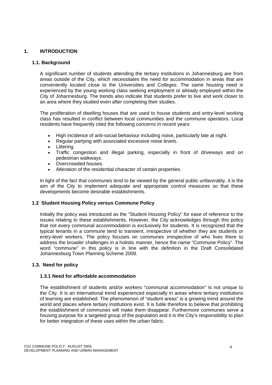#### **1. INTRODUCTION**

#### **1.1. Background**

A significant number of students attending the tertiary institutions in Johannesburg are from areas outside of the City, which necessitates the need for accommodation in areas that are conveniently located close to the Universities and Colleges. The same housing need is experienced by the young working class seeking employment or already employed within the City of Johannesburg. The trends also indicate that students prefer to live and work closer to an area where they studied even after completing their studies.

The proliferation of dwelling houses that are used to house students and entry-level working class has resulted in conflict between local communities and the commune operators. Local residents have frequently cited the following concerns in recent years:

- High incidence of anti-social behaviour including noise, particularly late at night.
- Regular partying with associated excessive noise levels.
- Littering.
- Traffic congestion and illegal parking, especially in front of driveways and on pedestrian walkways.
- Overcrowded houses.
- Alteration of the residential character of certain properties.

In light of the fact that communes tend to be viewed by the general public unfavorably, it is the aim of the City to implement adequate and appropriate control measures so that these developments become desirable establishments.

#### **1.2 Student Housing Policy versus Commune Policy**

Initially the policy was introduced as the "Student Housing Policy" for ease of reference to the issues relating to these establishments. However, the City acknowledges through this policy that not every communal accommodation is exclusively for students. It is recognized that the typical tenants in a commune tend to transient, irrespective of whether they are students or entry-level workers. The policy focuses on communes irrespective of who lives there to address the broader challenges in a holistic manner, hence the name "Commune Policy". The word "commune" in this policy is in line with the definition in the Draft Consolidated Johannesburg Town Planning Scheme 2009.

#### **1.3. Need for policy**

#### **1.3.1 Need for affordable accommodation**

The establishment of students and/or workers "communal accommodation" is not unique to the City. It is an international trend experienced especially in areas where tertiary institutions of learning are established. The phenomenon of "student areas" is a growing trend around the world and places where tertiary institutions exist. It is futile therefore to believe that prohibiting the establishment of communes will make them disappear. Furthermore communes serve a housing purpose for a targeted group of the population and it is the City's responsibility to plan for better integration of these uses within the urban fabric.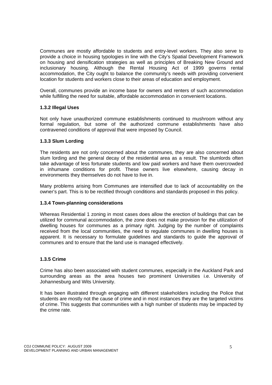Communes are mostly affordable to students and entry-level workers. They also serve to provide a choice in housing typologies in line with the City's Spatial Development Framework on housing and densification strategies as well as principles of Breaking New Ground and inclusionary housing. Although the Rental Housing Act of 1999 governs rental accommodation, the City ought to balance the community's needs with providing convenient location for students and workers close to their areas of education and employment.

Overall, communes provide an income base for owners and renters of such accommodation while fulfilling the need for suitable, affordable accommodation in convenient locations.

#### **1.3.2 Illegal Uses**

Not only have unauthorized commune establishments continued to mushroom without any formal regulation, but some of the authorized commune establishments have also contravened conditions of approval that were imposed by Council.

#### **1.3.3 Slum Lording**

The residents are not only concerned about the communes, they are also concerned about slum lording and the general decay of the residential area as a result. The slumlords often take advantage of less fortunate students and low paid workers and have them overcrowded in inhumane conditions for profit. These owners live elsewhere, causing decay in environments they themselves do not have to live in.

Many problems arising from Communes are intensified due to lack of accountability on the owner's part. This is to be rectified through conditions and standards proposed in this policy.

#### **1.3.4 Town-planning considerations**

Whereas Residential 1 zoning in most cases does allow the erection of buildings that can be utilized for communal accommodation, the zone does not make provision for the utilization of dwelling houses for communes as a primary right. Judging by the number of complaints received from the local communities, the need to regulate communes in dwelling houses is apparent. It is necessary to formulate guidelines and standards to guide the approval of communes and to ensure that the land use is managed effectively.

#### **1.3.5 Crime**

Crime has also been associated with student communes, especially in the Auckland Park and surrounding areas as the area houses two prominent Universities i.e. University of Johannesburg and Wits University.

It has been illustrated through engaging with different stakeholders including the Police that students are mostly not the cause of crime and in most instances they are the targeted victims of crime. This suggests that communities with a high number of students may be impacted by the crime rate.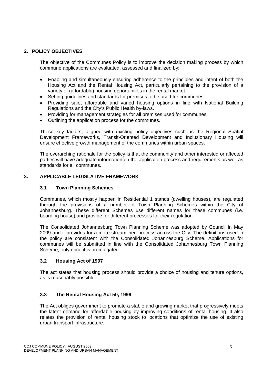#### **2. POLICY OBJECTIVES**

The objective of the Communes Policy is to improve the decision making process by which commune applications are evaluated, assessed and finalized by:

- Enabling and simultaneously ensuring adherence to the principles and intent of both the Housing Act and the Rental Housing Act, particularly pertaining to the provision of a variety of (affordable) housing opportunities in the rental market.
- Setting guidelines and standards for premises to be used for communes.
- Providing safe, affordable and varied housing options in line with National Building Regulations and the City's Public Health by-laws.
- Providing for management strategies for all premises used for communes.
- Outlining the application process for the communes.

These key factors, aligned with existing policy objectives such as the Regional Spatial Development Frameworks, Transit-Oriented Development and Inclusionary Housing will ensure effective growth management of the communes within urban spaces.

The overarching rationale for the policy is that the community and other interested or affected parties will have adequate information on the application process and requirements as well as standards for all communes.

#### **3. APPLICABLE LEGISLATIVE FRAMEWORK**

#### **3.1 Town Planning Schemes**

Communes, which mostly happen in Residential 1 stands (dwelling houses), are regulated through the provisions of a number of Town Planning Schemes within the City of Johannesburg. These different Schemes use different names for these communes (i.e. boarding house) and provide for different processes for their regulation.

The Consolidated Johannesburg Town Planning Scheme was adopted by Council in May 2009 and it provides for a more streamlined process across the City. The definitions used in the policy are consistent with the Consolidated Johannesburg Scheme. Applications for communes will be submitted in line with the Consolidated Johannesburg Town Planning Scheme, only once it is promulgated.

#### **3.2 Housing Act of 1997**

The act states that housing process should provide a choice of housing and tenure options, as is reasonably possible.

#### **3.3 The Rental Housing Act 50, 1999**

The Act obliges government to promote a stable and growing market that progressively meets the latent demand for affordable housing by improving conditions of rental housing. It also relates the provision of rental housing stock to locations that optimize the use of existing urban transport infrastructure.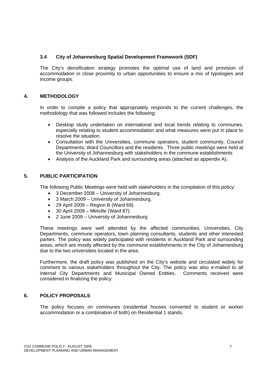#### **3.4 City of Johannesburg Spatial Development Framework (SDF)**

The City's densification strategy promotes the optimal use of land and provision of accommodation in close proximity to urban opportunities to ensure a mix of typologies and income groups.

#### **4. METHODOLOGY**

In order to compile a policy that appropriately responds to the current challenges, the methodology that was followed includes the following:

- Desktop study undertaken on international and local trends relating to communes, especially relating to student accommodation and what measures were put in place to resolve the situation.
- Consultation with the Universities, commune operators, student community, Council Departments, Ward Councillors and the residents. Three public meetings were held at the University of Johannesburg with stakeholders in the commune establishments
- Analysis of the Auckland Park and surrounding areas (attached as appendix A).

#### **5. PUBLIC PARTICIPATION**

The following Public Meetings were held with stakeholders in the compilation of this policy:

- 3 December 2008 University of Johannesburg.
- 3 March 2009 University of Johannesburg.
- 29 April 2009 Region B (Ward 69).
- $\bullet$  30 April 2009 Melville (Ward 87).
- 2 June 2009 University of Johannesburg

These meetings were well attended by the affected communities, Universities, City Departments, commune operators, town planning consultants, students and other interested parties. The policy was widely participated with residents in Auckland Park and surrounding areas, which are mostly affected by the commune establishments in the City of Johannesburg due to the two universities located in the area.

Furthermore, the draft policy was published on the City's website and circulated widely for comment to various stakeholders throughout the City. The policy was also e-mailed to all internal City Departments and Municipal Owned Entities. Comments received were considered in finalizing the policy.

#### **6. POLICY PROPOSALS**

The policy focuses on communes (residential houses converted to student or worker accommodation or a combination of both) on Residential 1 stands.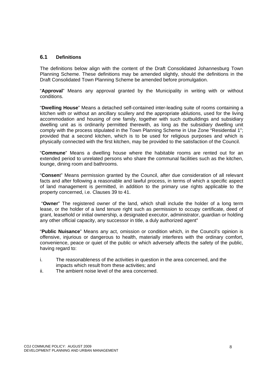#### **6.1 Definitions**

The definitions below align with the content of the Draft Consolidated Johannesburg Town Planning Scheme. These definitions may be amended slightly, should the definitions in the Draft Consolidated Town Planning Scheme be amended before promulgation.

"**Approval**" Means any approval granted by the Municipality in writing with or without conditions.

"**Dwelling House**" Means a detached self-contained inter-leading suite of rooms containing a kitchen with or without an ancillary scullery and the appropriate ablutions, used for the living accommodation and housing of one family, together with such outbuildings and subsidiary dwelling unit as is ordinarily permitted therewith, as long as the subsidiary dwelling unit comply with the process stipulated in the Town Planning Scheme in Use Zone "Residential 1"; provided that a second kitchen, which is to be used for religious purposes and which is physically connected with the first kitchen, may be provided to the satisfaction of the Council.

"**Commune**" Means a dwelling house where the habitable rooms are rented out for an extended period to unrelated persons who share the communal facilities such as the kitchen, lounge, dining room and bathrooms.

"**Consen**t" Means permission granted by the Council, after due consideration of all relevant facts and after following a reasonable and lawful process, in terms of which a specific aspect of land management is permitted, in addition to the primary use rights applicable to the property concerned, i.e. Clauses 39 to 41.

 "**Owner**" The registered owner of the land, which shall include the holder of a long term lease, or the holder of a land tenure right such as permission to occupy certificate, deed of grant, leasehold or initial ownership, a designated executor, administrator, guardian or holding any other official capacity, any successor in title, a duly authorized agent"

"**Public Nuisance**" Means any act, omission or condition which, in the Council's opinion is offensive, injurious or dangerous to health, materially interferes with the ordinary comfort, convenience, peace or quiet of the public or which adversely affects the safety of the public, having regard to:

- i. The reasonableness of the activities in question in the area concerned, and the impacts which result from these activities; and
- ii. The ambient noise level of the area concerned.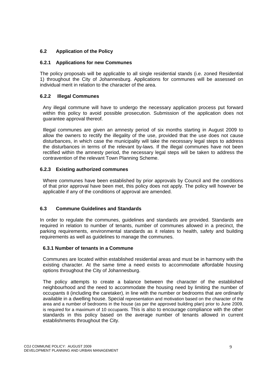#### **6.2 Application of the Policy**

#### **6.2.1 Applications for new Communes**

The policy proposals will be applicable to all single residential stands (i.e. zoned Residential 1) throughout the City of Johannesburg. Applications for communes will be assessed on individual merit in relation to the character of the area.

#### **6.2.2 Illegal Communes**

Any illegal commune will have to undergo the necessary application process put forward within this policy to avoid possible prosecution. Submission of the application does not guarantee approval thereof.

Illegal communes are given an amnesty period of six months starting in August 2009 to allow the owners to rectify the illegality of the use, provided that the use does not cause disturbances, in which case the municipality will take the necessary legal steps to address the disturbances in terms of the relevant by-laws. If the illegal communes have not been rectified within the amnesty period, the necessary legal steps will be taken to address the contravention of the relevant Town Planning Scheme.

#### **6.2.3 Existing authorized communes**

Where communes have been established by prior approvals by Council and the conditions of that prior approval have been met, this policy does not apply. The policy will however be applicable if any of the conditions of approval are amended.

#### **6.3 Commune Guidelines and Standards**

In order to regulate the communes, guidelines and standards are provided. Standards are required in relation to number of tenants, number of communes allowed in a precinct, the parking requirements, environmental standards as it relates to health, safety and building requirements as well as guidelines to manage the communes.

#### **6.3.1 Number of tenants in a Commune**

Communes are located within established residential areas and must be in harmony with the existing character. At the same time a need exists to accommodate affordable housing options throughout the City of Johannesburg.

The policy attempts to create a balance between the character of the established neighbourhood and the need to accommodate the housing need by limiting the number of occupants 8 (including the caretaker), in line with the number or bedrooms that are ordinarily available in a dwelling house. Special representation and motivation based on the character of the area and a number of bedrooms in the house (as per the approved building plan) prior to June 2009, is required for a maximum of 10 occupants. This is also to encourage compliance with the other standards in this policy based on the average number of tenants allowed in current establishments throughout the City.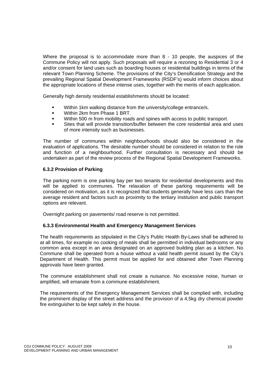Where the proposal is to accommodate more than 8 - 10 people, the auspices of the Commune Policy will not apply. Such proposals will require a rezoning to Residential 3 or 4 and/or consent for land uses such as boarding houses or residential buildings in terms of the relevant Town Planning Scheme. The provisions of the City's Densification Strategy and the prevailing Regional Spatial Development Frameworks (RSDF's) would inform choices about the appropriate locations of these intense uses, together with the merits of each application.

Generally high density residential establishments should be located:

- Within 1km walking distance from the university/college entrance/s.
- Within 2km from Phase 1 BRT.
- Within 500 m from mobility roads and spines with access to public transport.
- Sites that will provide transition/buffer between the core residential area and uses of more intensity such as businesses.

The number of communes within neighbourhoods should also be considered in the evaluation of applications. The desirable number should be considered in relation to the role and function of a neighbourhood. Further consultation is necessary and should be undertaken as part of the review process of the Regional Spatial Development Frameworks.

#### **6.3.2 Provision of Parking**

The parking norm is one parking bay per two tenants for residential developments and this will be applied to communes. The relaxation of these parking requirements will be considered on motivation, as it is recognized that students generally have less cars than the average resident and factors such as proximity to the tertiary institution and public transport options are relevant.

Overnight parking on pavements/ road reserve is not permitted.

#### **6.3.3 Environmental Health and Emergency Management Services**

The health requirements as stipulated in the City's Public Health By-Laws shall be adhered to at all times, for example no cooking of meals shall be permitted in individual bedrooms or any common area except in an area designated on an approved building plan as a kitchen. No Commune shall be operated from a house without a valid health permit issued by the City's Department of Health. This permit must be applied for and obtained after Town Planning approvals have been granted.

The commune establishment shall not create a nuisance. No excessive noise, human or amplified, will emanate from a commune establishment.

The requirements of the Emergency Management Services shall be complied with, including the prominent display of the street address and the provision of a 4,5kg dry chemical powder fire extinguisher to be kept safely in the house.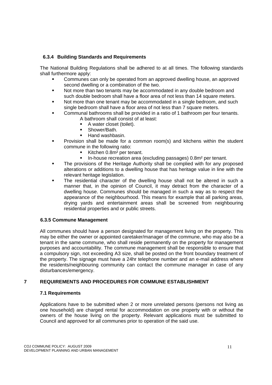#### **6.3.4 Building Standards and Requirements**

The National Building Regulations shall be adhered to at all times. The following standards shall furthermore apply:

- Communes can only be operated from an approved dwelling house, an approved second dwelling or a combination of the two.
- Not more than two tenants may be accommodated in any double bedroom and such double bedroom shall have a floor area of not less than 14 square meters.
- Not more than one tenant may be accommodated in a single bedroom, and such single bedroom shall have a floor area of not less than 7 square meters.
- Communal bathrooms shall be provided in a ratio of 1 bathroom per four tenants. A bathroom shall consist of at least:
	- A water closet (toilet).
	- Shower/Bath.
	- Hand washbasin.
- Provision shall be made for a common room(s) and kitchens within the student commune in the following ratio:
	- Kitchen 0.8m<sup>2</sup> per tenant.
	- In-house recreation area (excluding passages) 0.8m² per tenant.
- The provisions of the Heritage Authority shall be complied with for any proposed alterations or additions to a dwelling house that has heritage value in line with the relevant heritage legislation.
- The residential character of the dwelling house shall not be altered in such a manner that, in the opinion of Council, it may detract from the character of a dwelling house. Communes should be managed in such a way as to respect the appearance of the neighbourhood. This means for example that all parking areas, drying yards and entertainment areas shall be screened from neighbouring residential properties and or public streets.

#### **6.3.5 Commune Management**

All communes should have a person designated for management living on the property. This may be either the owner or appointed caretaker/manager of the commune, who may also be a tenant in the same commune, who shall reside permanently on the property for management purposes and accountability. The commune management shall be responsible to ensure that a compulsory sign, not exceeding A3 size, shall be posted on the front boundary treatment of the property. The signage must have a 24hr telephone number and an e-mail address where the residents/neighbouring community can contact the commune manager in case of any disturbances/emergency.

#### **7 REQUIREMENTS AND PROCEDURES FOR COMMUNE ESTABLISHMENT**

#### **7.1 Requirements**

Applications have to be submitted when 2 or more unrelated persons (persons not living as one household) are charged rental for accommodation on one property with or without the owners of the house living on the property. Relevant applications must be submitted to Council and approved for all communes prior to operation of the said use.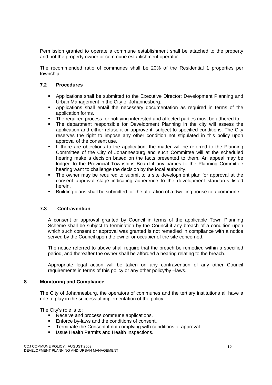Permission granted to operate a commune establishment shall be attached to the property and not the property owner or commune establishment operator.

The recommended ratio of communes shall be 20% of the Residential 1 properties per township.

#### **7.2 Procedures**

- Applications shall be submitted to the Executive Director: Development Planning and Urban Management in the City of Johannesburg.
- Applications shall entail the necessary documentation as required in terms of the application forms.
- The required process for notifying interested and affected parties must be adhered to.
- The department responsible for Development Planning in the city will assess the application and either refuse it or approve it, subject to specified conditions. The City reserves the right to impose any other condition not stipulated in this policy upon approval of the consent use.
- If there are objections to the application, the matter will be referred to the Planning Committee of the City of Johannesburg and such Committee will at the scheduled hearing make a decision based on the facts presented to them. An appeal may be lodged to the Provincial Townships Board if any parties to the Planning Committee hearing want to challenge the decision by the local authority.
- The owner may be required to submit to a site development plan for approval at the consent approval stage indicating adherence to the development standards listed herein.
- Building plans shall be submitted for the alteration of a dwelling house to a commune.

#### **7.3 Contravention**

A consent or approval granted by Council in terms of the applicable Town Planning Scheme shall be subject to termination by the Council if any breach of a condition upon which such consent or approval was granted is not remedied in compliance with a notice served by the Council upon the owner or occupier of the site concerned.

The notice referred to above shall require that the breach be remedied within a specified period, and thereafter the owner shall be afforded a hearing relating to the breach.

Appropriate legal action will be taken on any contravention of any other Council requirements in terms of this policy or any other policy/by –laws.

#### **8 Monitoring and Compliance**

The City of Johannesburg, the operators of communes and the tertiary institutions all have a role to play in the successful implementation of the policy.

The City's role is to:

- Receive and process commune applications.
- **Enforce by-laws and the conditions of consent.**
- **Terminate the Consent if not complying with conditions of approval.**
- **ISSUE Health Permits and Health Inspections.**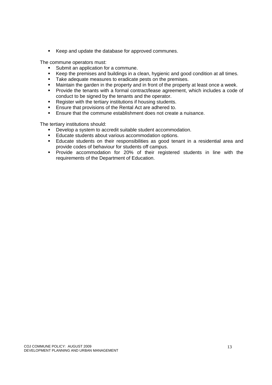Keep and update the database for approved communes.

The commune operators must:

- Submit an application for a commune.
- Keep the premises and buildings in a clean, hygienic and good condition at all times.
- Take adequate measures to eradicate pests on the premises.
- **Maintain the garden in the property and in front of the property at least once a week.**
- **Provide the tenants with a formal contract/lease agreement, which includes a code of** conduct to be signed by the tenants and the operator.
- **Register with the tertiary institutions if housing students.**
- **Ensure that provisions of the Rental Act are adhered to.**
- Ensure that the commune establishment does not create a nuisance.

The tertiary institutions should:

- Develop a system to accredit suitable student accommodation.
- **Educate students about various accommodation options.**
- Educate students on their responsibilities as good tenant in a residential area and provide codes of behaviour for students off campus.
- Provide accommodation for 20% of their registered students in line with the requirements of the Department of Education.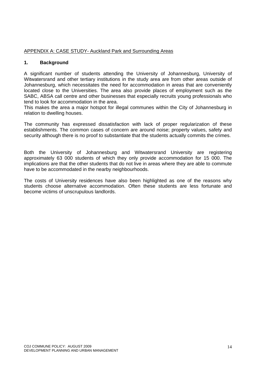#### APPENDIX A: CASE STUDY- Auckland Park and Surrounding Areas

#### **1. Background**

A significant number of students attending the University of Johannesburg, University of Witwatersrand and other tertiary institutions in the study area are from other areas outside of Johannesburg, which necessitates the need for accommodation in areas that are conveniently located close to the Universities. The area also provide places of employment such as the SABC, ABSA call centre and other businesses that especially recruits young professionals who tend to look for accommodation in the area.

This makes the area a major hotspot for illegal communes within the City of Johannesburg in relation to dwelling houses.

The community has expressed dissatisfaction with lack of proper regularization of these establishments. The common cases of concern are around noise; property values, safety and security although there is no proof to substantiate that the students actually commits the crimes.

Both the University of Johannesburg and Witwatersrand University are registering approximately 63 000 students of which they only provide accommodation for 15 000. The implications are that the other students that do not live in areas where they are able to commute have to be accommodated in the nearby neighbourhoods.

The costs of University residences have also been highlighted as one of the reasons why students choose alternative accommodation. Often these students are less fortunate and become victims of unscrupulous landlords.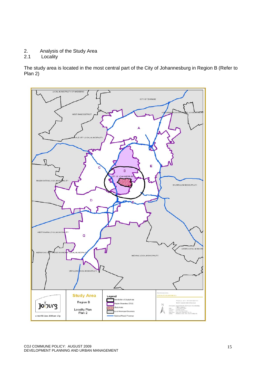- 2. Analysis of the Study Area
- 2.1 Locality

The study area is located in the most central part of the City of Johannesburg in Region B (Refer to Plan 2)

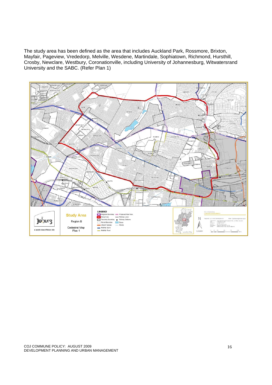The study area has been defined as the area that includes Auckland Park, Rossmore, Brixton, Mayfair, Pageview, Vrededorp, Melville, Wesdene, Martindale, Sophiatown, Richmond, Hursthill, Crosby, Newclare, Westbury, Coronationville, including University of Johannesburg, Witwatersrand University and the SABC. (Refer Plan 1)

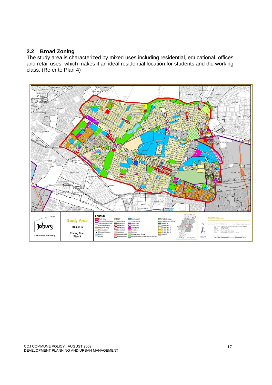## **2.2 Broad Zoning**

The study area is characterized by mixed uses including residential, educational, offices and retail uses, which makes it an ideal residential location for students and the working class. (Refer to Plan 4)

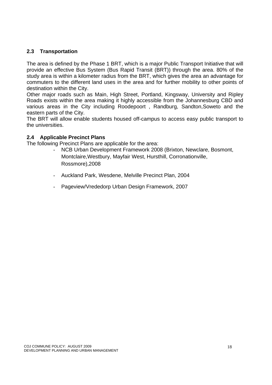## **2.3 Transportation**

The area is defined by the Phase 1 BRT, which is a major Public Transport Initiative that will provide an effective Bus System (Bus Rapid Transit (BRT)) through the area. 80% of the study area is within a kilometer radius from the BRT, which gives the area an advantage for commuters to the different land uses in the area and for further mobility to other points of destination within the City.

Other major roads such as Main, High Street, Portland, Kingsway, University and Ripley Roads exists within the area making it highly accessible from the Johannesburg CBD and various areas in the City including Roodepoort , Randburg, Sandton,Soweto and the eastern parts of the City.

The BRT will allow enable students housed off-campus to access easy public transport to the universities.

#### **2.4 Applicable Precinct Plans**

The following Precinct Plans are applicable for the area:

- NCB Urban Development Framework 2008 (Brixton, Newclare, Bosmont, Montclaire,Westbury, Mayfair West, Hursthill, Corronationville, Rossmore),2008
- Auckland Park, Wesdene, Melville Precinct Plan, 2004
- Pageview/Vrededorp Urban Design Framework, 2007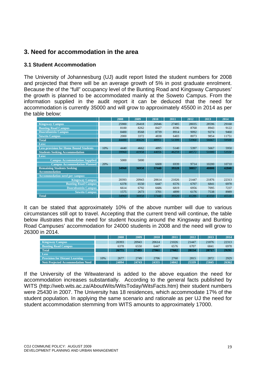## **3. Need for accommodation in the area**

## **3.1 Student Accommodation**

The University of Johannesburg (UJ) audit report listed the student numbers for 2008 and projected that there will be an average growth of 5% in post graduate enrolment. Because the of the "full" occupancy level of the Bunting Road and Kingsway Campuses' the growth is planned to be accommodated mainly at the Soweto Campus. From the information supplied in the audit report it can be deduced that the need for accommodation is currently 35000 and will grow to approximately 45500 in 2014 as per the table below:

|                                               |     | 2008  | 2009  | 2010  | 2011  | 2012  | 2013  | 2014  |
|-----------------------------------------------|-----|-------|-------|-------|-------|-------|-------|-------|
| <b>Kingsway Campus</b>                        |     | 25900 | 26418 | 26946 | 27485 | 28035 | 28596 | 29168 |
| <b>Bunting Road Campus</b>                    |     | 8100  | 8262  | 8427  | 8596  | 8768  | 8943  | 9122  |
| <b>Doornfontein Campus</b>                    |     | 8400  | 8568  | 8739  | 8914  | 9092  | 9274  | 9460  |
| <b>Soweto Campus</b>                          |     | 2000  | 3372  | 4838  | 6403  | 8073  | 9854  | 11751 |
| <b>Total</b>                                  |     | 44400 | 46620 | 48951 | 51399 | 53968 | 56667 | 59500 |
| Less:                                         |     |       |       |       |       |       |       |       |
| <b>Less provision for Home Bound Students</b> | 10% | 4440  | 4662  | 4895  | 5140  | 5397  | 5667  | 5950  |
| <b>Students Seeking Accommodation</b>         |     | 39960 | 41958 | 44056 | 46259 | 48572 | 51000 | 53550 |
| Less:                                         |     |       |       |       |       |       |       |       |
| <b>Campus Accommodation Supplied</b>          |     | 5000  | 5000  |       |       |       |       |       |
| <b>Campus Accommodation Planned</b>           | 20% |       |       | 6608  | 6939  | 9714  | 10200 | 10710 |
| <b>Remaining Students Seeking</b>             |     | 34960 | 36958 | 37448 | 39320 | 38857 | 40800 | 42840 |
| <b>Accommodation</b>                          |     |       |       |       |       |       |       |       |
| <b>Accommodation need per campus:</b>         |     |       |       |       |       |       |       |       |
| <b>Kingsway Campus</b>                        |     | 20393 | 20943 | 20614 | 21026 | 21447 | 21876 | 22313 |
| <b>Bunting Road Campus</b>                    |     | 6378  | 6550  | 6447  | 6576  | 6707  | 6841  | 6978  |
| <b>Doornfontein Campus</b>                    |     | 6614  | 6792  | 6686  | 6819  | 6956  | 7095  | 7237  |
| <b>Soweto Campus</b>                          |     | 1575  | 2673  | 3701  | 4899  | 6176  | 7538  | 8989  |
| <b>Total</b>                                  |     | 34960 | 36958 | 37448 | 39320 | 41286 | 43350 | 45518 |

It can be stated that approximately 10% of the above number will due to various circumstances still opt to travel. Accepting that the current trend will continue, the table below illustrates that the need for student housing around the Kingsway and Bunting Road Campuses' accommodation for 24000 students in 2008 and the need will grow to 26300 in 2014.

|                                       |     | 2008  | 2009  | 2010  | 2011  | 2012  | 2013  | 2014  |
|---------------------------------------|-----|-------|-------|-------|-------|-------|-------|-------|
| <b>Kingsway Campus</b>                |     | 20393 | 20943 | 20614 | 21026 | 21447 | 21876 | 22313 |
| <b>Bunting Road Campus</b>            |     | 6378  | 6550  | 6447  | 6576  | 6707  | 6841  | 6978  |
| <b>Total</b>                          |     | 26771 | 27493 | 27061 | 27602 | 28154 | 28717 | 29291 |
| <b>Less</b>                           |     |       |       |       |       |       |       |       |
| <b>Provision for Distant Learning</b> | 10% | 2677  | 2749  | 2706  | 2760  | 2815  | 2872  | 2929  |
| Nett Projected Accommodation Need     |     | 24094 | 24743 | 24355 | 24842 | 25339 | 25845 | 26362 |

If the University of the Witwaterand is added to the above equation the need for accommodation increases substantially. According to the general facts published by WITS (http://web.wits.ac.za/AboutWits/WitsToday/WitsFacts.htm) their student numbers were 25430 in 2007. The University has 18 residences, which accommodate 17% of the student population. In applying the same scenario and rationale as per UJ the need for student accommodation stemming from WITS amounts to approximately 17000.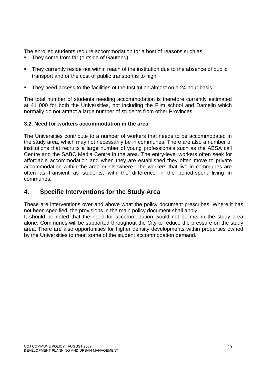The enrolled students require accommodation for a host of reasons such as:

- They come from far (outside of Gauteng)
- They currently reside not within reach of the institution due to the absence of public transport and or the cost of public transport is to high
- They need access to the facilities of the Institution almost on a 24 hour basis.

The total number of students needing accommodation is therefore currently estimated at 41 000 for both the Universities, not including the Film school and Damelin which normally do not attract a large number of students from other Provinces.

## **3.2. Need for workers accommodation in the area**

The Universities contribute to a number of workers that needs to be accommodated in the study area, which may not necessarily be in communes. There are also a number of institutions that recruits a large number of young professionals such as the ABSA call Centre and the SABC Media Centre in the area. The entry-level workers often seek for affordable accommodation and when they are established they often move to private accommodation within the area or elsewhere. The workers that live in communes are often as transient as students, with the difference in the period-spent living in communes.

## **4. Specific Interventions for the Study Area**

These are interventions over and above what the policy document prescribes. Where it has not been specified, the provisions in the main policy document shall apply.

It should be noted that the need for accommodation would not be met in the study area alone. Communes will be supported throughout the City to reduce the pressure on the study area. There are also opportunities for higher density developments within properties owned by the Universities to meet some of the student accommodation demand.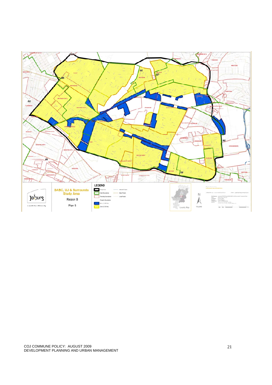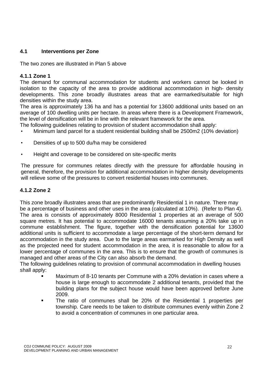## **4.1 Interventions per Zone**

The two zones are illustrated in Plan 5 above

## **4.1.1 Zone 1**

The demand for communal accommodation for students and workers cannot be looked in isolation to the capacity of the area to provide additional accommodation in high- density developments. This zone broadly illustrates areas that are earmarked/suitable for high densities within the study area.

The area is approximately 136 ha and has a potential for 13600 additional units based on an average of 100 dwelling units per hectare. In areas where there is a Development Framework, the level of densification will be in line with the relevant framework for the area.

The following guidelines relating to provision of student accommodation shall apply:

- Minimum land parcel for a student residential building shall be 2500m2 (10% deviation)
- Densities of up to 500 du/ha may be considered
- Height and coverage to be considered on site-specific merits

The pressure for communes relates directly with the pressure for affordable housing in general, therefore, the provision for additional accommodation in higher density developments will relieve some of the pressures to convert residential houses into communes.

### **4.1.2 Zone 2**

This zone broadly illustrates areas that are predominantly Residential 1 in nature. There may be a percentage of business and other uses in the area (calculated at 10%). (Refer to Plan 4). The area is consists of approximately 8000 Residential 1 properties at an average of 500 square metres. It has potential to accommodate 16000 tenants assuming a 20% take up in commune establishment. The figure, together with the densification potential for 13600 additional units is sufficient to accommodate a large percentage of the short-term demand for accommodation in the study area. Due to the large areas earmarked for High Density as well as the projected need for student accommodation in the area, it is reasonable to allow for a lower percentage of communes in the area. This is to ensure that the growth of communes is managed and other areas of the City can also absorb the demand.

The following guidelines relating to provision of communal accommodation in dwelling houses shall apply:

- Maximum of 8-10 tenants per Commune with a 20% deviation in cases where a house is large enough to accommodate 2 additional tenants, provided that the building plans for the subject house would have been approved before June 2009.
- The ratio of communes shall be 20% of the Residential 1 properties per township. Care needs to be taken to distribute communes evenly within Zone 2 to avoid a concentration of communes in one particular area.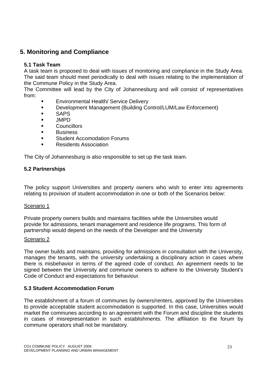## **5. Monitoring and Compliance**

## **5.1 Task Team**

A task team is proposed to deal with issues of monitoring and compliance in the Study Area. The said team should meet periodically to deal with issues relating to the implementation of the Commune Policy in the Study Area.

The Committee will lead by the City of Johannesburg and will consist of representatives from:

- Environmental Health/ Service Delivery
- Development Management (Building Control/LUM/Law Enforcement)
- **SAPS**
- **JIMPD**
- **Councillors**
- **Business**
- **EXECOMODATION FORUMS**
- **Residents Association**

The City of Johannesburg is also responsible to set up the task team.

## **5.2 Partnerships**

The policy support Universities and property owners who wish to enter into agreements relating to provision of student accommodation in one or both of the Scenarios below:

#### Scenario 1

Private property owners builds and maintains facilities while the Universities would provide for admissions, tenant management and residence life programs. This form of partnership would depend on the needs of the Developer and the University

#### Scenario 2

The owner builds and maintains, providing for admissions in consultation with the University, manages the tenants, with the university undertaking a disciplinary action in cases where there is misbehavior in terms of the agreed code of conduct. An agreement needs to be signed between the University and commune owners to adhere to the University Student's Code of Conduct and expectations for behaviour.

## **5.3 Student Accommodation Forum**

The establishment of a forum of communes by owners/renters, approved by the Universities to provide acceptable student accommodation is supported. In this case, Universities would market the communes according to an agreement with the Forum and discipline the students in cases of misrepresentation in such establishments. The affiliation to the forum by commune operators shall not be mandatory.